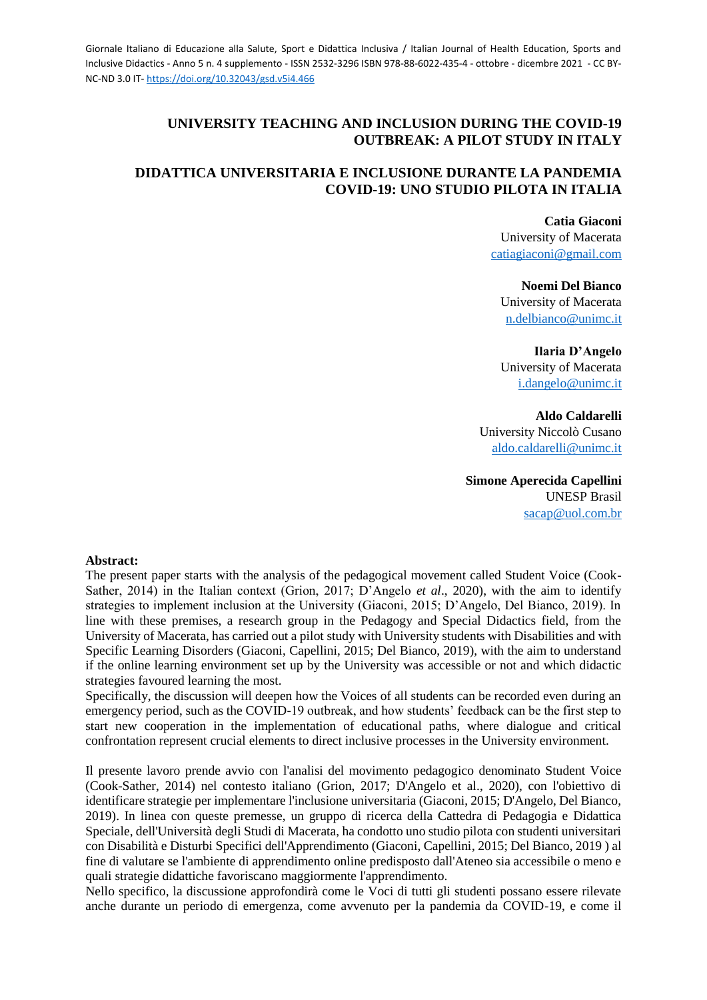# **UNIVERSITY TEACHING AND INCLUSION DURING THE COVID-19 OUTBREAK: A PILOT STUDY IN ITALY**

# **DIDATTICA UNIVERSITARIA E INCLUSIONE DURANTE LA PANDEMIA COVID-19: UNO STUDIO PILOTA IN ITALIA**

**Catia Giaconi** University of Macerata [catiagiaconi@gmail.com](mailto:catiagiaconi@gmail.com)

**Noemi Del Bianco** University of Macerata [n.delbianco@unimc.it](mailto:n.delbianco@unimc.it)

**Ilaria D'Angelo** University of Macerata [i.dangelo@unimc.it](mailto:i.dangelo@unimc.it)

**Aldo Caldarelli** University Niccolò Cusano [aldo.caldarelli@unimc.it](mailto:aldo.caldarelli@unimc.it)

**Simone Aperecida Capellini** UNESP Brasil [sacap@uol.com.br](mailto:sacap@uol.com.br)

### **Abstract:**

The present paper starts with the analysis of the pedagogical movement called Student Voice (Cook-Sather, 2014) in the Italian context (Grion, 2017; D'Angelo *et al*., 2020), with the aim to identify strategies to implement inclusion at the University (Giaconi, 2015; D'Angelo, Del Bianco, 2019). In line with these premises, a research group in the Pedagogy and Special Didactics field, from the University of Macerata, has carried out a pilot study with University students with Disabilities and with Specific Learning Disorders (Giaconi, Capellini, 2015; Del Bianco, 2019), with the aim to understand if the online learning environment set up by the University was accessible or not and which didactic strategies favoured learning the most.

Specifically, the discussion will deepen how the Voices of all students can be recorded even during an emergency period, such as the COVID-19 outbreak, and how students' feedback can be the first step to start new cooperation in the implementation of educational paths, where dialogue and critical confrontation represent crucial elements to direct inclusive processes in the University environment.

Il presente lavoro prende avvio con l'analisi del movimento pedagogico denominato Student Voice (Cook-Sather, 2014) nel contesto italiano (Grion, 2017; D'Angelo et al., 2020), con l'obiettivo di identificare strategie per implementare l'inclusione universitaria (Giaconi, 2015; D'Angelo, Del Bianco, 2019). In linea con queste premesse, un gruppo di ricerca della Cattedra di Pedagogia e Didattica Speciale, dell'Università degli Studi di Macerata, ha condotto uno studio pilota con studenti universitari con Disabilità e Disturbi Specifici dell'Apprendimento (Giaconi, Capellini, 2015; Del Bianco, 2019 ) al fine di valutare se l'ambiente di apprendimento online predisposto dall'Ateneo sia accessibile o meno e quali strategie didattiche favoriscano maggiormente l'apprendimento.

Nello specifico, la discussione approfondirà come le Voci di tutti gli studenti possano essere rilevate anche durante un periodo di emergenza, come avvenuto per la pandemia da COVID-19, e come il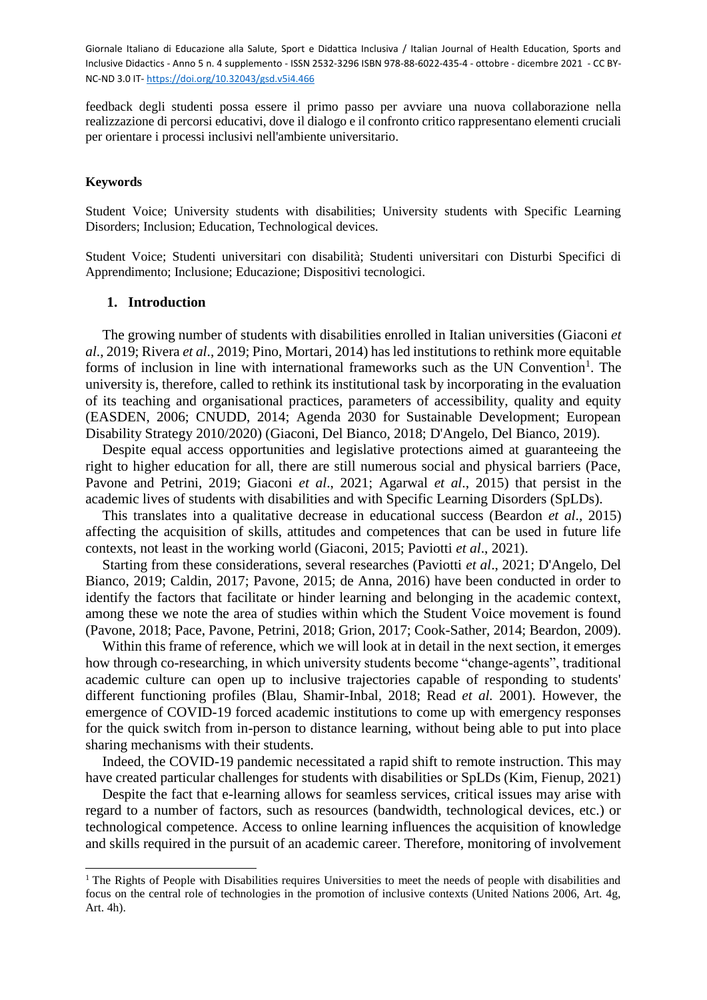feedback degli studenti possa essere il primo passo per avviare una nuova collaborazione nella realizzazione di percorsi educativi, dove il dialogo e il confronto critico rappresentano elementi cruciali per orientare i processi inclusivi nell'ambiente universitario.

#### **Keywords**

 $\overline{a}$ 

Student Voice; University students with disabilities; University students with Specific Learning Disorders; Inclusion; Education, Technological devices.

Student Voice; Studenti universitari con disabilità; Studenti universitari con Disturbi Specifici di Apprendimento; Inclusione; Educazione; Dispositivi tecnologici.

#### **1. Introduction**

The growing number of students with disabilities enrolled in Italian universities (Giaconi *et al*., 2019; Rivera *et al*., 2019; Pino, Mortari, 2014) has led institutions to rethink more equitable forms of inclusion in line with international frameworks such as the UN Convention<sup>1</sup>. The university is, therefore, called to rethink its institutional task by incorporating in the evaluation of its teaching and organisational practices, parameters of accessibility, quality and equity (EASDEN, 2006; CNUDD, 2014; Agenda 2030 for Sustainable Development; European Disability Strategy 2010/2020) (Giaconi, Del Bianco, 2018; D'Angelo, Del Bianco, 2019).

Despite equal access opportunities and legislative protections aimed at guaranteeing the right to higher education for all, there are still numerous social and physical barriers (Pace, Pavone and Petrini, 2019; Giaconi *et al*., 2021; Agarwal *et al*., 2015) that persist in the academic lives of students with disabilities and with Specific Learning Disorders (SpLDs).

This translates into a qualitative decrease in educational success (Beardon *et al*., 2015) affecting the acquisition of skills, attitudes and competences that can be used in future life contexts, not least in the working world (Giaconi, 2015; Paviotti *et al*., 2021).

Starting from these considerations, several researches (Paviotti *et al*., 2021; D'Angelo, Del Bianco, 2019; Caldin, 2017; Pavone, 2015; de Anna, 2016) have been conducted in order to identify the factors that facilitate or hinder learning and belonging in the academic context, among these we note the area of studies within which the Student Voice movement is found (Pavone, 2018; Pace, Pavone, Petrini, 2018; Grion, 2017; Cook-Sather, 2014; Beardon, 2009).

Within this frame of reference, which we will look at in detail in the next section, it emerges how through co-researching, in which university students become "change-agents", traditional academic culture can open up to inclusive trajectories capable of responding to students' different functioning profiles (Blau, Shamir-Inbal, 2018; Read *et al.* 2001). However, the emergence of COVID-19 forced academic institutions to come up with emergency responses for the quick switch from in-person to distance learning, without being able to put into place sharing mechanisms with their students.

Indeed, the COVID-19 pandemic necessitated a rapid shift to remote instruction. This may have created particular challenges for students with disabilities or SpLDs (Kim, Fienup, 2021)

Despite the fact that e-learning allows for seamless services, critical issues may arise with regard to a number of factors, such as resources (bandwidth, technological devices, etc.) or technological competence. Access to online learning influences the acquisition of knowledge and skills required in the pursuit of an academic career. Therefore, monitoring of involvement

<sup>&</sup>lt;sup>1</sup> The Rights of People with Disabilities requires Universities to meet the needs of people with disabilities and focus on the central role of technologies in the promotion of inclusive contexts (United Nations 2006, Art. 4g, Art. 4h).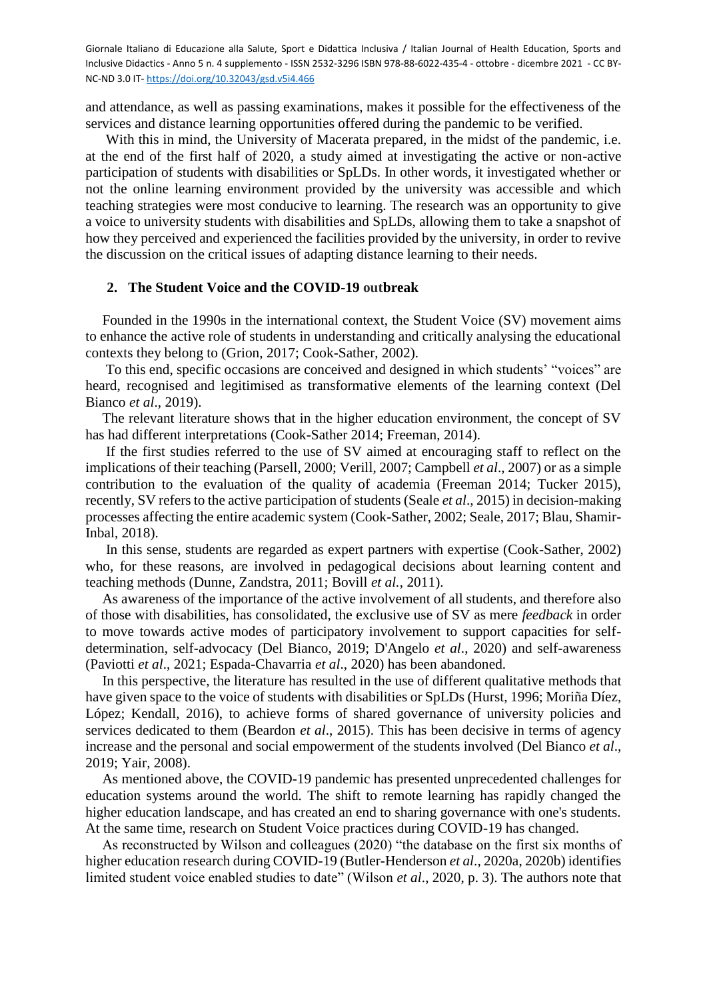and attendance, as well as passing examinations, makes it possible for the effectiveness of the services and distance learning opportunities offered during the pandemic to be verified.

With this in mind, the University of Macerata prepared, in the midst of the pandemic, i.e. at the end of the first half of 2020, a study aimed at investigating the active or non-active participation of students with disabilities or SpLDs. In other words, it investigated whether or not the online learning environment provided by the university was accessible and which teaching strategies were most conducive to learning. The research was an opportunity to give a voice to university students with disabilities and SpLDs, allowing them to take a snapshot of how they perceived and experienced the facilities provided by the university, in order to revive the discussion on the critical issues of adapting distance learning to their needs.

## **2. The Student Voice and the COVID-19 outbreak**

Founded in the 1990s in the international context, the Student Voice (SV) movement aims to enhance the active role of students in understanding and critically analysing the educational contexts they belong to (Grion, 2017; Cook-Sather, 2002).

To this end, specific occasions are conceived and designed in which students' "voices" are heard, recognised and legitimised as transformative elements of the learning context (Del Bianco *et al*., 2019).

The relevant literature shows that in the higher education environment, the concept of SV has had different interpretations (Cook-Sather 2014; Freeman, 2014).

If the first studies referred to the use of SV aimed at encouraging staff to reflect on the implications of their teaching (Parsell, 2000; Verill, 2007; Campbell *et al*., 2007) or as a simple contribution to the evaluation of the quality of academia (Freeman 2014; Tucker 2015), recently, SV refers to the active participation of students (Seale *et al*., 2015) in decision-making processes affecting the entire academic system (Cook-Sather, 2002; Seale, 2017; Blau, Shamir-Inbal, 2018).

In this sense, students are regarded as expert partners with expertise (Cook-Sather, 2002) who, for these reasons, are involved in pedagogical decisions about learning content and teaching methods (Dunne, Zandstra, 2011; Bovill *et al.*, 2011).

As awareness of the importance of the active involvement of all students, and therefore also of those with disabilities, has consolidated, the exclusive use of SV as mere *feedback* in order to move towards active modes of participatory involvement to support capacities for selfdetermination, self-advocacy (Del Bianco, 2019; D'Angelo *et al*., 2020) and self-awareness (Paviotti *et al*., 2021; Espada-Chavarria *et al*., 2020) has been abandoned.

In this perspective, the literature has resulted in the use of different qualitative methods that have given space to the voice of students with disabilities or SpLDs (Hurst, 1996; Moriña Díez, López; Kendall, 2016), to achieve forms of shared governance of university policies and services dedicated to them (Beardon *et al*., 2015). This has been decisive in terms of agency increase and the personal and social empowerment of the students involved (Del Bianco *et al*., 2019; Yair, 2008).

As mentioned above, the COVID-19 pandemic has presented unprecedented challenges for education systems around the world. The shift to remote learning has rapidly changed the higher education landscape, and has created an end to sharing governance with one's students. At the same time, research on Student Voice practices during COVID-19 has changed.

As reconstructed by Wilson and colleagues (2020) "the database on the first six months of higher education research during COVID-19 (Butler-Henderson *et al*., 2020a, 2020b) identifies limited student voice enabled studies to date" (Wilson *et al*., 2020, p. 3). The authors note that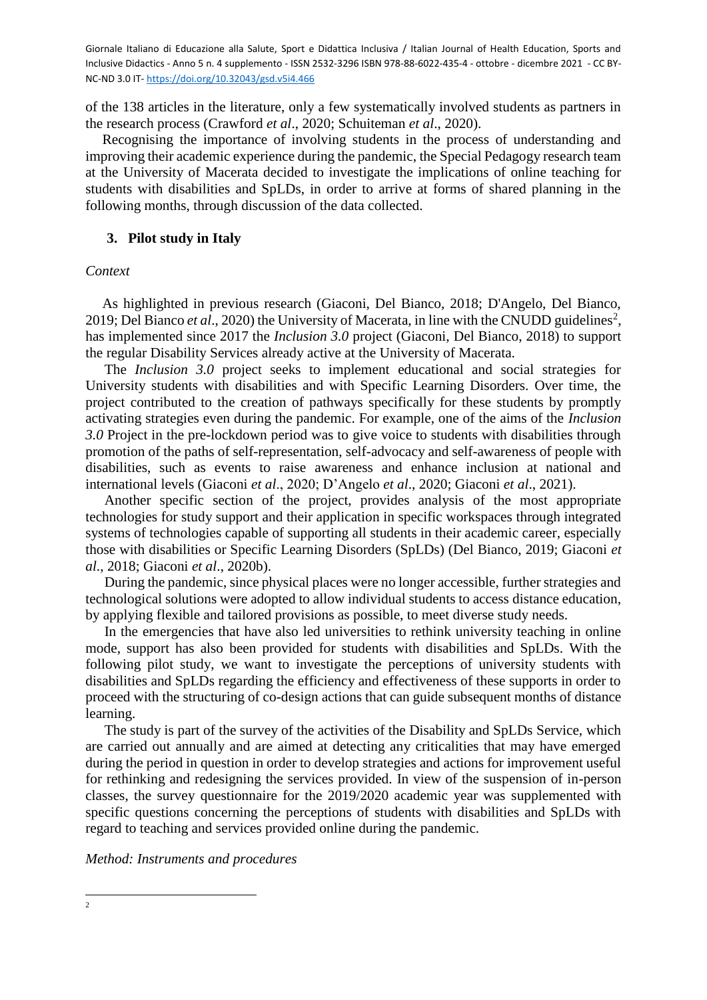of the 138 articles in the literature, only a few systematically involved students as partners in the research process (Crawford *et al*., 2020; Schuiteman *et al*., 2020).

Recognising the importance of involving students in the process of understanding and improving their academic experience during the pandemic, the Special Pedagogy research team at the University of Macerata decided to investigate the implications of online teaching for students with disabilities and SpLDs, in order to arrive at forms of shared planning in the following months, through discussion of the data collected.

# **3. Pilot study in Italy**

### *Context*

As highlighted in previous research (Giaconi, Del Bianco, 2018; D'Angelo, Del Bianco, 2019; Del Bianco *et al.*, 2020) the University of Macerata, in line with the CNUDD guidelines<sup>2</sup>, has implemented since 2017 the *Inclusion 3.0* project (Giaconi, Del Bianco, 2018) to support the regular Disability Services already active at the University of Macerata.

The *Inclusion 3.0* project seeks to implement educational and social strategies for University students with disabilities and with Specific Learning Disorders. Over time, the project contributed to the creation of pathways specifically for these students by promptly activating strategies even during the pandemic. For example, one of the aims of the *Inclusion 3.0* Project in the pre-lockdown period was to give voice to students with disabilities through promotion of the paths of self-representation, self-advocacy and self-awareness of people with disabilities, such as events to raise awareness and enhance inclusion at national and international levels (Giaconi *et al*., 2020; D'Angelo *et al*., 2020; Giaconi *et al*., 2021).

Another specific section of the project, provides analysis of the most appropriate technologies for study support and their application in specific workspaces through integrated systems of technologies capable of supporting all students in their academic career, especially those with disabilities or Specific Learning Disorders (SpLDs) (Del Bianco, 2019; Giaconi *et al*., 2018; Giaconi *et al*., 2020b).

During the pandemic, since physical places were no longer accessible, further strategies and technological solutions were adopted to allow individual students to access distance education, by applying flexible and tailored provisions as possible, to meet diverse study needs.

In the emergencies that have also led universities to rethink university teaching in online mode, support has also been provided for students with disabilities and SpLDs. With the following pilot study, we want to investigate the perceptions of university students with disabilities and SpLDs regarding the efficiency and effectiveness of these supports in order to proceed with the structuring of co-design actions that can guide subsequent months of distance learning.

The study is part of the survey of the activities of the Disability and SpLDs Service, which are carried out annually and are aimed at detecting any criticalities that may have emerged during the period in question in order to develop strategies and actions for improvement useful for rethinking and redesigning the services provided. In view of the suspension of in-person classes, the survey questionnaire for the 2019/2020 academic year was supplemented with specific questions concerning the perceptions of students with disabilities and SpLDs with regard to teaching and services provided online during the pandemic.

*Method: Instruments and procedures*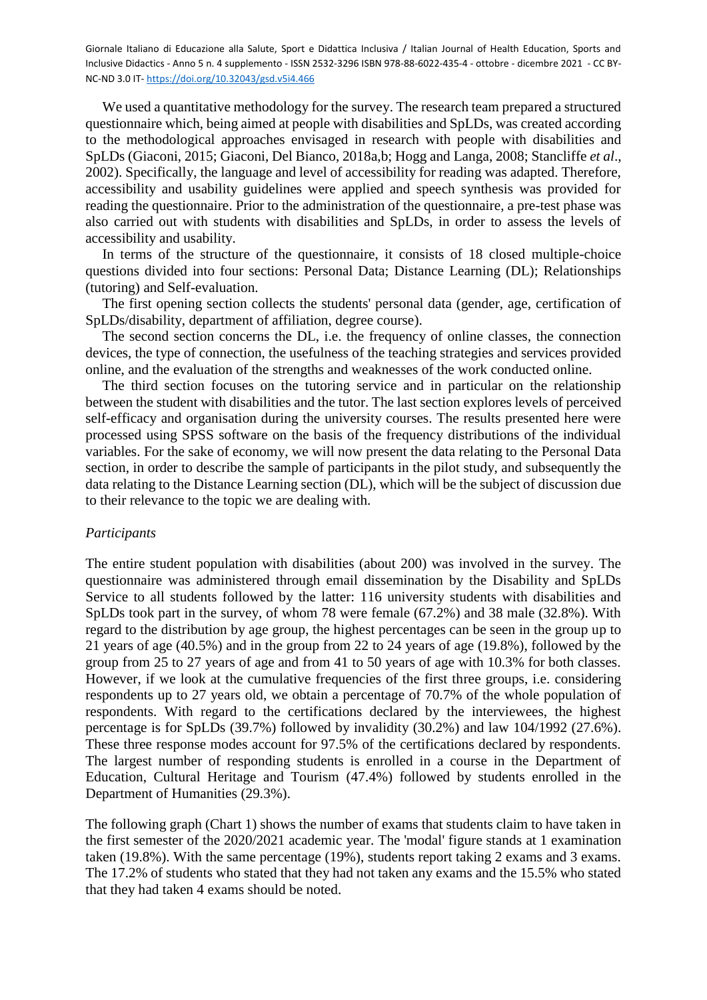We used a quantitative methodology for the survey. The research team prepared a structured questionnaire which, being aimed at people with disabilities and SpLDs, was created according to the methodological approaches envisaged in research with people with disabilities and SpLDs (Giaconi, 2015; Giaconi, Del Bianco, 2018a,b; Hogg and Langa, 2008; Stancliffe *et al*., 2002). Specifically, the language and level of accessibility for reading was adapted. Therefore, accessibility and usability guidelines were applied and speech synthesis was provided for reading the questionnaire. Prior to the administration of the questionnaire, a pre-test phase was also carried out with students with disabilities and SpLDs, in order to assess the levels of accessibility and usability.

In terms of the structure of the questionnaire, it consists of 18 closed multiple-choice questions divided into four sections: Personal Data; Distance Learning (DL); Relationships (tutoring) and Self-evaluation.

The first opening section collects the students' personal data (gender, age, certification of SpLDs/disability, department of affiliation, degree course).

The second section concerns the DL, i.e. the frequency of online classes, the connection devices, the type of connection, the usefulness of the teaching strategies and services provided online, and the evaluation of the strengths and weaknesses of the work conducted online.

The third section focuses on the tutoring service and in particular on the relationship between the student with disabilities and the tutor. The last section explores levels of perceived self-efficacy and organisation during the university courses. The results presented here were processed using SPSS software on the basis of the frequency distributions of the individual variables. For the sake of economy, we will now present the data relating to the Personal Data section, in order to describe the sample of participants in the pilot study, and subsequently the data relating to the Distance Learning section (DL), which will be the subject of discussion due to their relevance to the topic we are dealing with.

### *Participants*

The entire student population with disabilities (about 200) was involved in the survey. The questionnaire was administered through email dissemination by the Disability and SpLDs Service to all students followed by the latter: 116 university students with disabilities and SpLDs took part in the survey, of whom 78 were female (67.2%) and 38 male (32.8%). With regard to the distribution by age group, the highest percentages can be seen in the group up to 21 years of age (40.5%) and in the group from 22 to 24 years of age (19.8%), followed by the group from 25 to 27 years of age and from 41 to 50 years of age with 10.3% for both classes. However, if we look at the cumulative frequencies of the first three groups, i.e. considering respondents up to 27 years old, we obtain a percentage of 70.7% of the whole population of respondents. With regard to the certifications declared by the interviewees, the highest percentage is for SpLDs (39.7%) followed by invalidity (30.2%) and law 104/1992 (27.6%). These three response modes account for 97.5% of the certifications declared by respondents. The largest number of responding students is enrolled in a course in the Department of Education, Cultural Heritage and Tourism (47.4%) followed by students enrolled in the Department of Humanities (29.3%).

The following graph (Chart 1) shows the number of exams that students claim to have taken in the first semester of the 2020/2021 academic year. The 'modal' figure stands at 1 examination taken (19.8%). With the same percentage (19%), students report taking 2 exams and 3 exams. The 17.2% of students who stated that they had not taken any exams and the 15.5% who stated that they had taken 4 exams should be noted.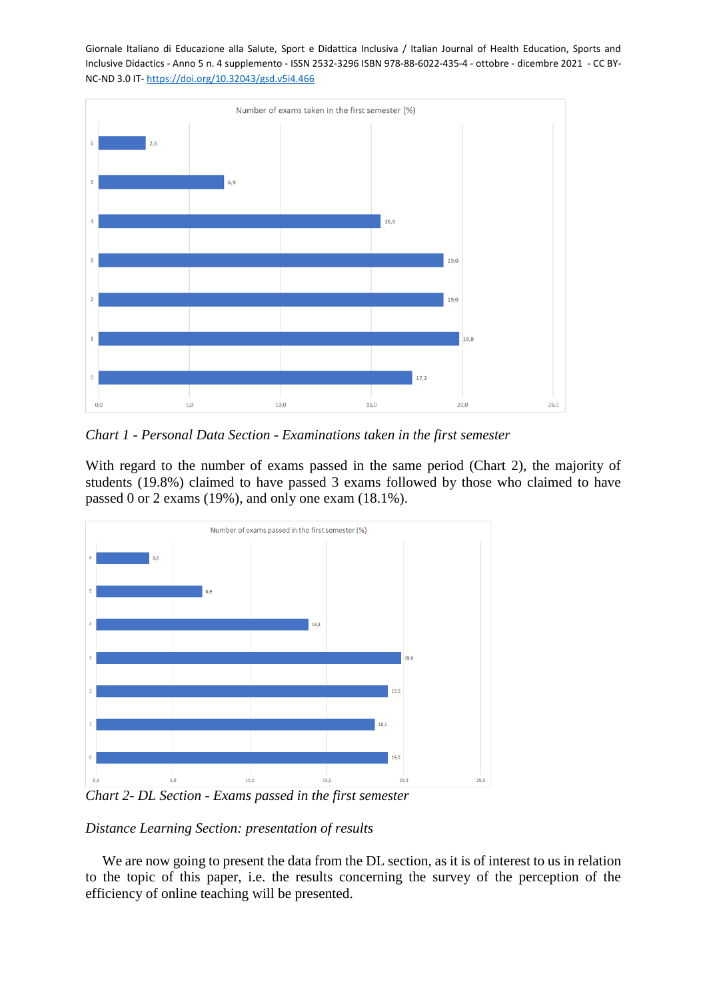

*Chart 1 - Personal Data Section - Examinations taken in the first semester*

With regard to the number of exams passed in the same period (Chart 2), the majority of students (19.8%) claimed to have passed 3 exams followed by those who claimed to have passed 0 or 2 exams (19%), and only one exam (18.1%).



*Chart 2- DL Section - Exams passed in the first semester*

*Distance Learning Section: presentation of results* 

We are now going to present the data from the DL section, as it is of interest to us in relation to the topic of this paper, i.e. the results concerning the survey of the perception of the efficiency of online teaching will be presented.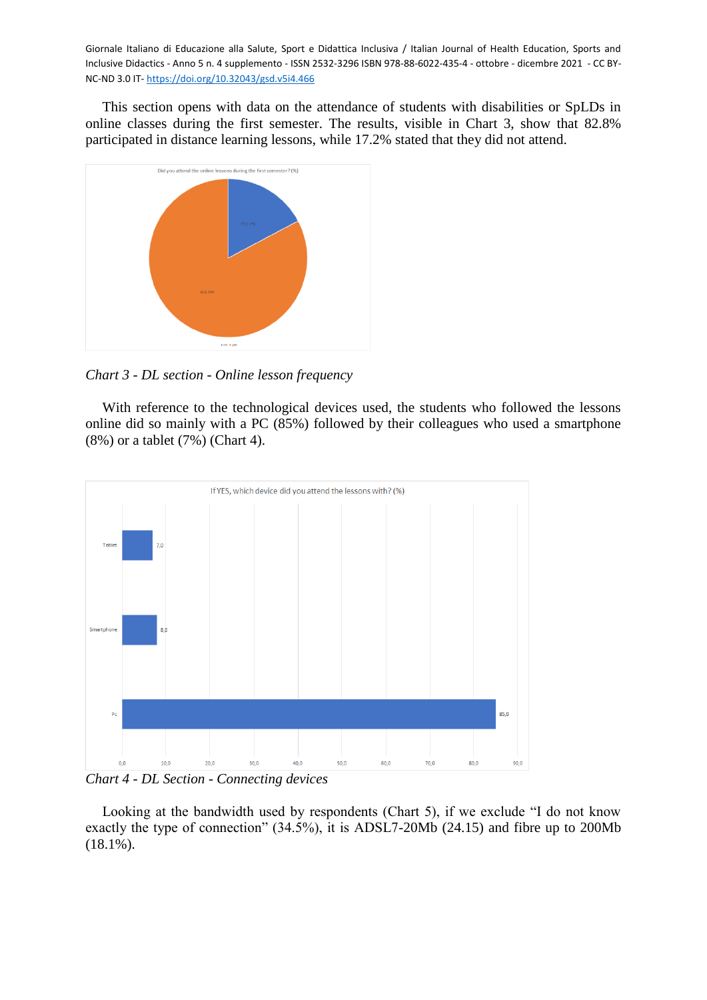This section opens with data on the attendance of students with disabilities or SpLDs in online classes during the first semester. The results, visible in Chart 3, show that 82.8% participated in distance learning lessons, while 17.2% stated that they did not attend.



*Chart 3 - DL section - Online lesson frequency*

With reference to the technological devices used, the students who followed the lessons online did so mainly with a PC (85%) followed by their colleagues who used a smartphone (8%) or a tablet (7%) (Chart 4).



*Chart 4 - DL Section - Connecting devices*

Looking at the bandwidth used by respondents (Chart 5), if we exclude "I do not know exactly the type of connection" (34.5%), it is ADSL7-20Mb (24.15) and fibre up to 200Mb (18.1%).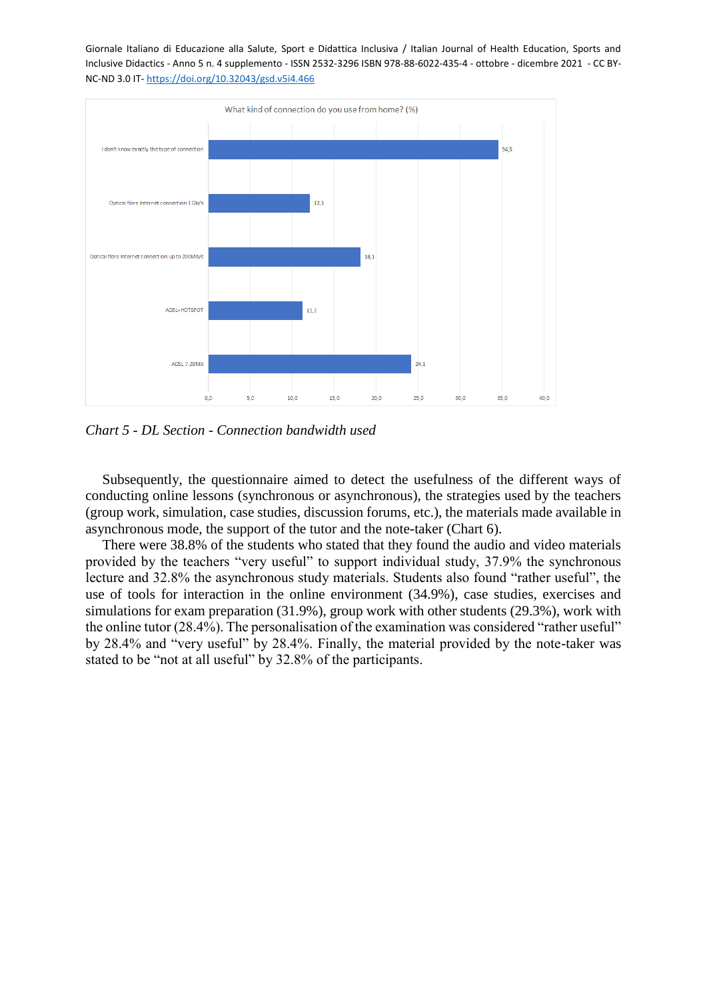

*Chart 5 - DL Section - Connection bandwidth used*

Subsequently, the questionnaire aimed to detect the usefulness of the different ways of conducting online lessons (synchronous or asynchronous), the strategies used by the teachers (group work, simulation, case studies, discussion forums, etc.), the materials made available in asynchronous mode, the support of the tutor and the note-taker (Chart 6).

There were 38.8% of the students who stated that they found the audio and video materials provided by the teachers "very useful" to support individual study, 37.9% the synchronous lecture and 32.8% the asynchronous study materials. Students also found "rather useful", the use of tools for interaction in the online environment (34.9%), case studies, exercises and simulations for exam preparation (31.9%), group work with other students (29.3%), work with the online tutor (28.4%). The personalisation of the examination was considered "rather useful" by 28.4% and "very useful" by 28.4%. Finally, the material provided by the note-taker was stated to be "not at all useful" by 32.8% of the participants.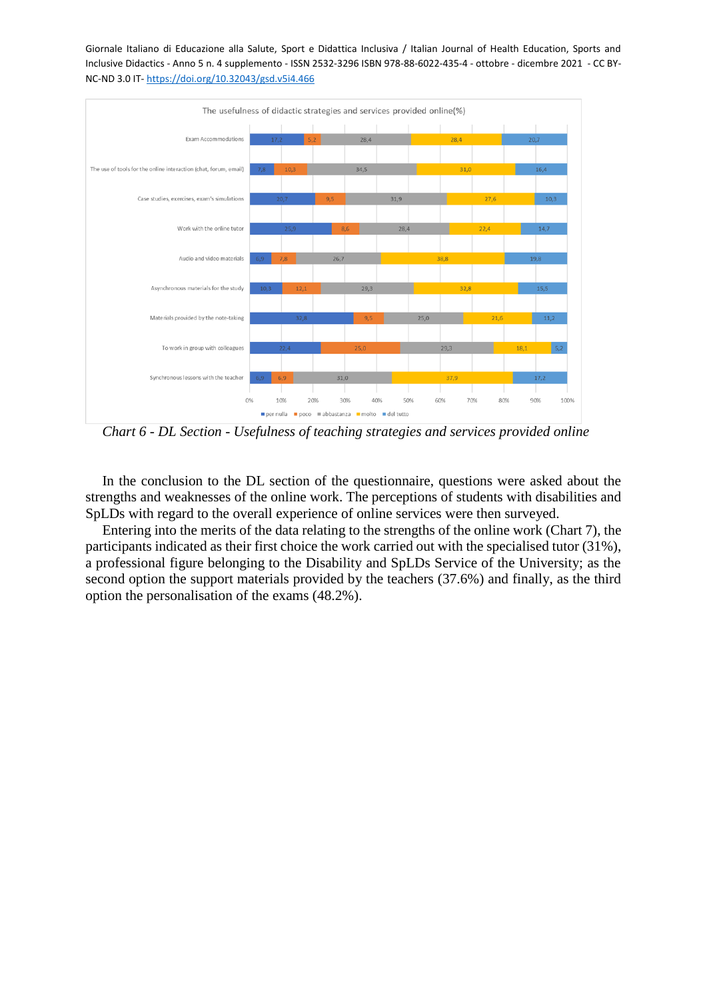

*Chart 6 - DL Section - Usefulness of teaching strategies and services provided online*

In the conclusion to the DL section of the questionnaire, questions were asked about the strengths and weaknesses of the online work. The perceptions of students with disabilities and SpLDs with regard to the overall experience of online services were then surveyed.

Entering into the merits of the data relating to the strengths of the online work (Chart 7), the participants indicated as their first choice the work carried out with the specialised tutor (31%), a professional figure belonging to the Disability and SpLDs Service of the University; as the second option the support materials provided by the teachers (37.6%) and finally, as the third option the personalisation of the exams (48.2%).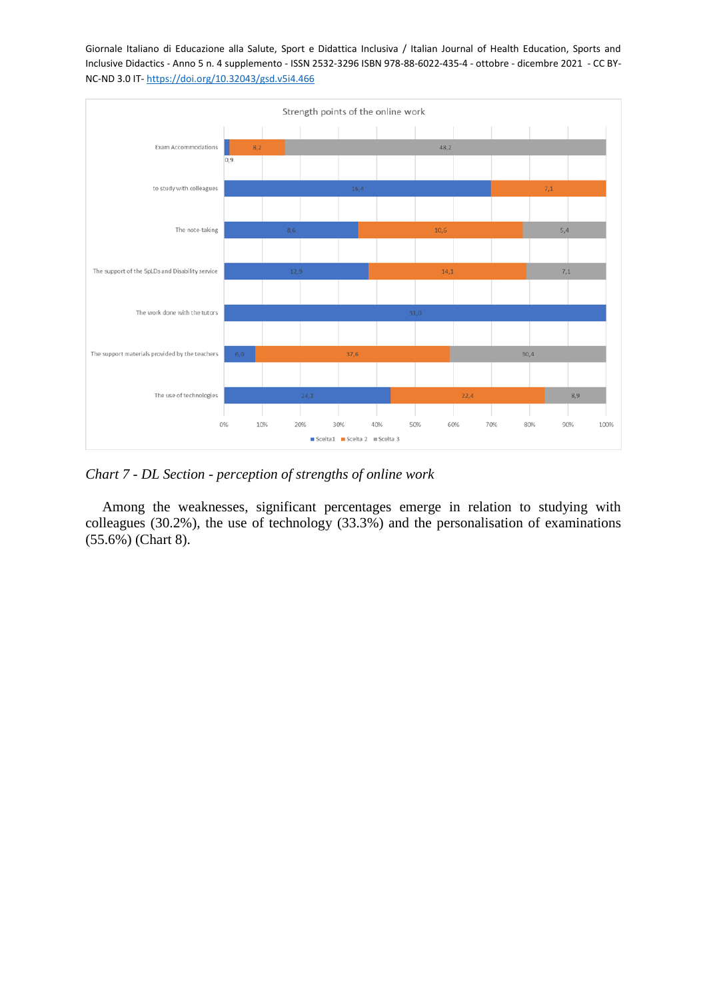

*Chart 7 - DL Section - perception of strengths of online work*

Among the weaknesses, significant percentages emerge in relation to studying with colleagues (30.2%), the use of technology (33.3%) and the personalisation of examinations (55.6%) (Chart 8).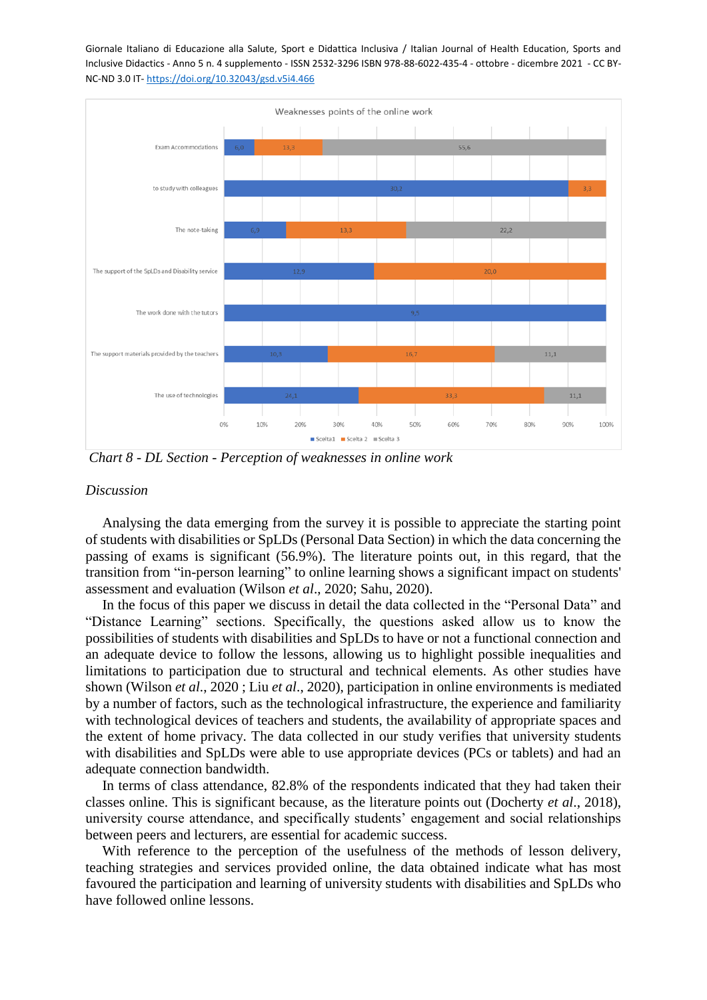

*Chart 8 - DL Section - Perception of weaknesses in online work*

### *Discussion*

Analysing the data emerging from the survey it is possible to appreciate the starting point of students with disabilities or SpLDs (Personal Data Section) in which the data concerning the passing of exams is significant (56.9%). The literature points out, in this regard, that the transition from "in-person learning" to online learning shows a significant impact on students' assessment and evaluation (Wilson *et al*., 2020; Sahu, 2020).

In the focus of this paper we discuss in detail the data collected in the "Personal Data" and "Distance Learning" sections. Specifically, the questions asked allow us to know the possibilities of students with disabilities and SpLDs to have or not a functional connection and an adequate device to follow the lessons, allowing us to highlight possible inequalities and limitations to participation due to structural and technical elements. As other studies have shown (Wilson *et al*., 2020 ; Liu *et al*., 2020), participation in online environments is mediated by a number of factors, such as the technological infrastructure, the experience and familiarity with technological devices of teachers and students, the availability of appropriate spaces and the extent of home privacy. The data collected in our study verifies that university students with disabilities and SpLDs were able to use appropriate devices (PCs or tablets) and had an adequate connection bandwidth.

In terms of class attendance, 82.8% of the respondents indicated that they had taken their classes online. This is significant because, as the literature points out (Docherty *et al*., 2018), university course attendance, and specifically students' engagement and social relationships between peers and lecturers, are essential for academic success.

With reference to the perception of the usefulness of the methods of lesson delivery, teaching strategies and services provided online, the data obtained indicate what has most favoured the participation and learning of university students with disabilities and SpLDs who have followed online lessons.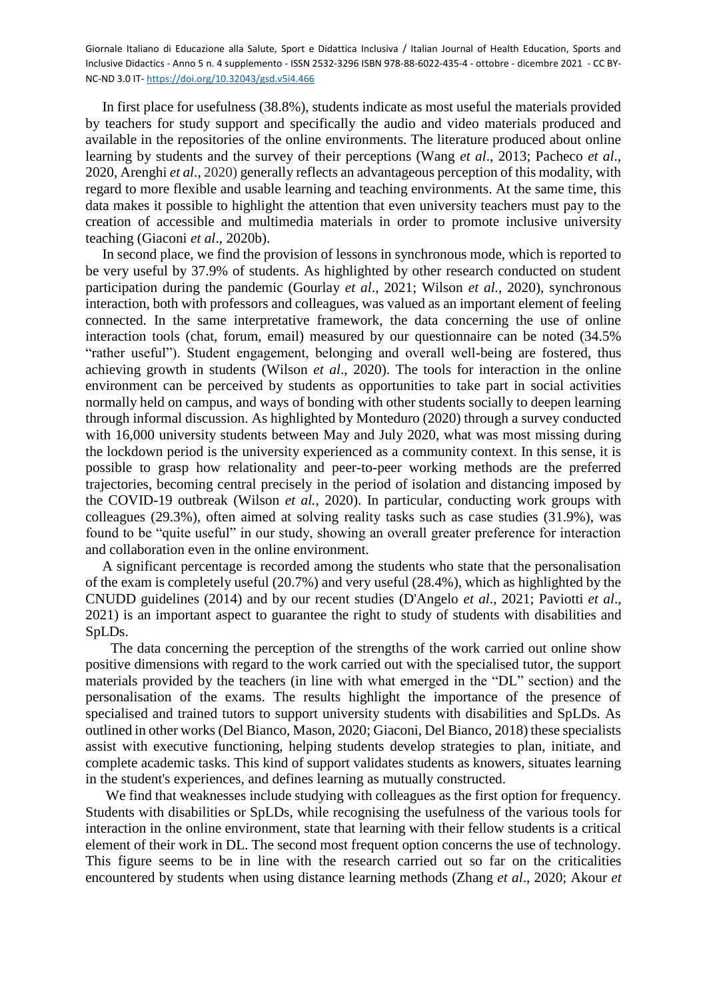In first place for usefulness (38.8%), students indicate as most useful the materials provided by teachers for study support and specifically the audio and video materials produced and available in the repositories of the online environments. The literature produced about online learning by students and the survey of their perceptions (Wang *et al*., 2013; Pacheco *et al*., 2020, Arenghi *et al*., 2020) generally reflects an advantageous perception of this modality, with regard to more flexible and usable learning and teaching environments. At the same time, this data makes it possible to highlight the attention that even university teachers must pay to the creation of accessible and multimedia materials in order to promote inclusive university teaching (Giaconi *et al*., 2020b).

In second place, we find the provision of lessons in synchronous mode, which is reported to be very useful by 37.9% of students. As highlighted by other research conducted on student participation during the pandemic (Gourlay *et al*., 2021; Wilson *et al.*, 2020), synchronous interaction, both with professors and colleagues, was valued as an important element of feeling connected. In the same interpretative framework, the data concerning the use of online interaction tools (chat, forum, email) measured by our questionnaire can be noted (34.5% "rather useful"). Student engagement, belonging and overall well-being are fostered, thus achieving growth in students (Wilson *et al*., 2020). The tools for interaction in the online environment can be perceived by students as opportunities to take part in social activities normally held on campus, and ways of bonding with other students socially to deepen learning through informal discussion. As highlighted by Monteduro (2020) through a survey conducted with 16,000 university students between May and July 2020, what was most missing during the lockdown period is the university experienced as a community context. In this sense, it is possible to grasp how relationality and peer-to-peer working methods are the preferred trajectories, becoming central precisely in the period of isolation and distancing imposed by the COVID-19 outbreak (Wilson *et al.*, 2020). In particular, conducting work groups with colleagues (29.3%), often aimed at solving reality tasks such as case studies (31.9%), was found to be "quite useful" in our study, showing an overall greater preference for interaction and collaboration even in the online environment.

A significant percentage is recorded among the students who state that the personalisation of the exam is completely useful (20.7%) and very useful (28.4%), which as highlighted by the CNUDD guidelines (2014) and by our recent studies (D'Angelo *et al*., 2021; Paviotti *et al*., 2021) is an important aspect to guarantee the right to study of students with disabilities and SpLDs.

The data concerning the perception of the strengths of the work carried out online show positive dimensions with regard to the work carried out with the specialised tutor, the support materials provided by the teachers (in line with what emerged in the "DL" section) and the personalisation of the exams. The results highlight the importance of the presence of specialised and trained tutors to support university students with disabilities and SpLDs. As outlined in other works (Del Bianco, Mason, 2020; Giaconi, Del Bianco, 2018) these specialists assist with executive functioning, helping students develop strategies to plan, initiate, and complete academic tasks. This kind of support validates students as knowers, situates learning in the student's experiences, and defines learning as mutually constructed.

We find that weaknesses include studying with colleagues as the first option for frequency. Students with disabilities or SpLDs, while recognising the usefulness of the various tools for interaction in the online environment, state that learning with their fellow students is a critical element of their work in DL. The second most frequent option concerns the use of technology. This figure seems to be in line with the research carried out so far on the criticalities encountered by students when using distance learning methods (Zhang *et al*., 2020; Akour *et*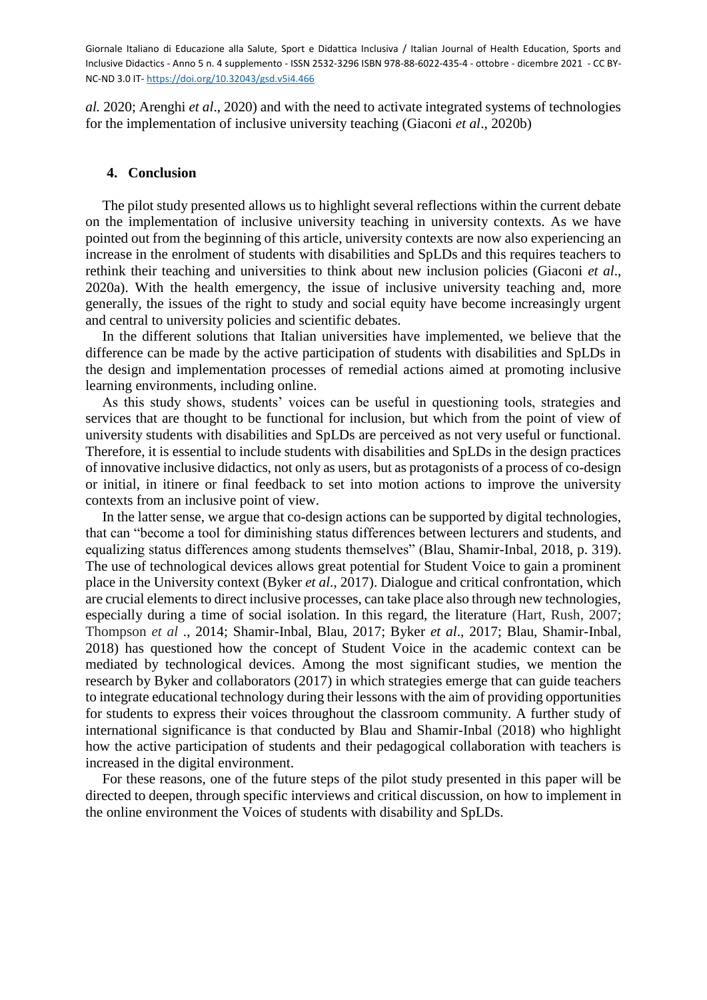*al.* 2020; Arenghi *et al*., 2020) and with the need to activate integrated systems of technologies for the implementation of inclusive university teaching (Giaconi *et al*., 2020b)

### **4. Conclusion**

The pilot study presented allows us to highlight several reflections within the current debate on the implementation of inclusive university teaching in university contexts. As we have pointed out from the beginning of this article, university contexts are now also experiencing an increase in the enrolment of students with disabilities and SpLDs and this requires teachers to rethink their teaching and universities to think about new inclusion policies (Giaconi *et al*., 2020a). With the health emergency, the issue of inclusive university teaching and, more generally, the issues of the right to study and social equity have become increasingly urgent and central to university policies and scientific debates.

In the different solutions that Italian universities have implemented, we believe that the difference can be made by the active participation of students with disabilities and SpLDs in the design and implementation processes of remedial actions aimed at promoting inclusive learning environments, including online.

As this study shows, students' voices can be useful in questioning tools, strategies and services that are thought to be functional for inclusion, but which from the point of view of university students with disabilities and SpLDs are perceived as not very useful or functional. Therefore, it is essential to include students with disabilities and SpLDs in the design practices of innovative inclusive didactics, not only as users, but as protagonists of a process of co-design or initial, in itinere or final feedback to set into motion actions to improve the university contexts from an inclusive point of view.

In the latter sense, we argue that co-design actions can be supported by digital technologies, that can "become a tool for diminishing status differences between lecturers and students, and equalizing status differences among students themselves" (Blau, Shamir-Inbal, 2018, p. 319). The use of technological devices allows great potential for Student Voice to gain a prominent place in the University context (Byker *et al*., 2017). Dialogue and critical confrontation, which are crucial elements to direct inclusive processes, can take place also through new technologies, especially during a time of social isolation. In this regard, the literature (Hart, Rush, 2007; Thompson *et al* ., 2014; Shamir-Inbal, Blau, 2017; Byker *et al*., 2017; Blau, Shamir-Inbal, 2018) has questioned how the concept of Student Voice in the academic context can be mediated by technological devices. Among the most significant studies, we mention the research by Byker and collaborators (2017) in which strategies emerge that can guide teachers to integrate educational technology during their lessons with the aim of providing opportunities for students to express their voices throughout the classroom community. A further study of international significance is that conducted by Blau and Shamir-Inbal (2018) who highlight how the active participation of students and their pedagogical collaboration with teachers is increased in the digital environment.

For these reasons, one of the future steps of the pilot study presented in this paper will be directed to deepen, through specific interviews and critical discussion, on how to implement in the online environment the Voices of students with disability and SpLDs.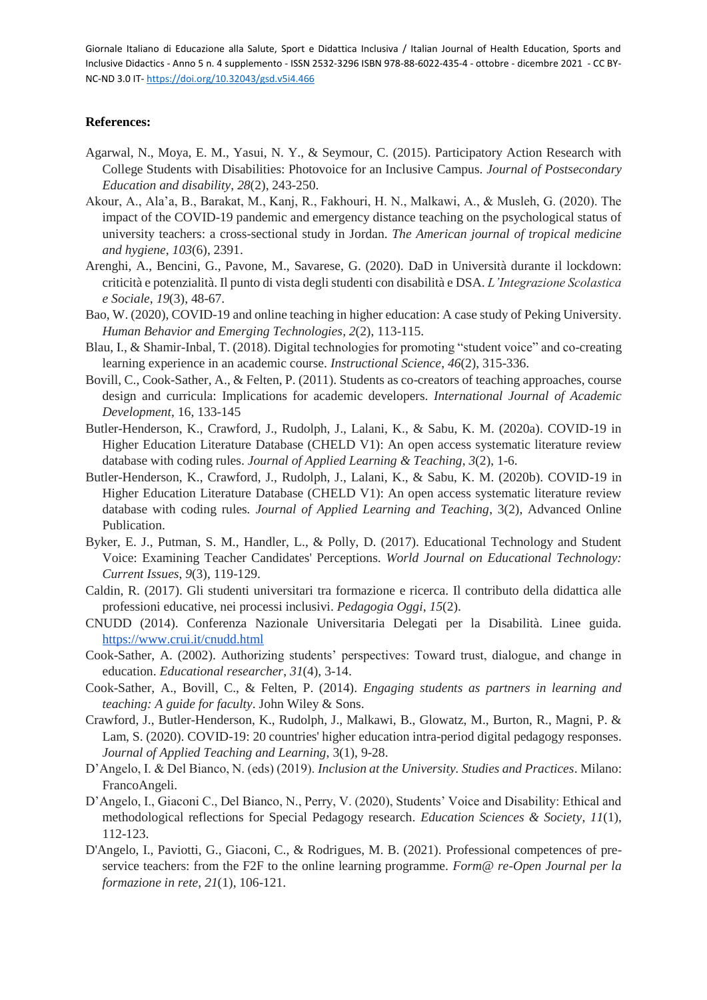## **References:**

- Agarwal, N., Moya, E. M., Yasui, N. Y., & Seymour, C. (2015). Participatory Action Research with College Students with Disabilities: Photovoice for an Inclusive Campus. *Journal of Postsecondary Education and disability*, *28*(2), 243-250.
- Akour, A., Ala'a, B., Barakat, M., Kanj, R., Fakhouri, H. N., Malkawi, A., & Musleh, G. (2020). The impact of the COVID-19 pandemic and emergency distance teaching on the psychological status of university teachers: a cross-sectional study in Jordan. *The American journal of tropical medicine and hygiene*, *103*(6), 2391.
- Arenghi, A., Bencini, G., Pavone, M., Savarese, G. (2020). DaD in Università durante il lockdown: criticità e potenzialità. Il punto di vista degli studenti con disabilità e DSA. *L'Integrazione Scolastica e Sociale*, *19*(3), 48-67.
- Bao, W. (2020), COVID-19 and online teaching in higher education: A case study of Peking University. *Human Behavior and Emerging Technologies*, *2*(2), 113-115.
- Blau, I., & Shamir-Inbal, T. (2018). Digital technologies for promoting "student voice" and co-creating learning experience in an academic course. *Instructional Science*, *46*(2), 315-336.
- Bovill, C., Cook-Sather, A., & Felten, P. (2011). Students as co-creators of teaching approaches, course design and curricula: Implications for academic developers. *International Journal of Academic Development*, 16, 133-145
- Butler-Henderson, K., Crawford, J., Rudolph, J., Lalani, K., & Sabu, K. M. (2020a). COVID-19 in Higher Education Literature Database (CHELD V1): An open access systematic literature review database with coding rules. *Journal of Applied Learning & Teaching*, *3*(2), 1-6.
- Butler-Henderson, K., Crawford, J., Rudolph, J., Lalani, K., & Sabu, K. M. (2020b). COVID-19 in Higher Education Literature Database (CHELD V1): An open access systematic literature review database with coding rules*. Journal of Applied Learning and Teaching*, 3(2), Advanced Online Publication.
- Byker, E. J., Putman, S. M., Handler, L., & Polly, D. (2017). Educational Technology and Student Voice: Examining Teacher Candidates' Perceptions. *World Journal on Educational Technology: Current Issues*, *9*(3), 119-129.
- Caldin, R. (2017). Gli studenti universitari tra formazione e ricerca. Il contributo della didattica alle professioni educative, nei processi inclusivi. *Pedagogia Oggi*, *15*(2).
- CNUDD (2014). Conferenza Nazionale Universitaria Delegati per la Disabilità. Linee guida[.](https://www.crui.it/cnudd.html) <https://www.crui.it/cnudd.html>
- Cook-Sather, A. (2002). Authorizing students' perspectives: Toward trust, dialogue, and change in education. *Educational researcher*, *31*(4), 3-14.
- Cook-Sather, A., Bovill, C., & Felten, P. (2014). *Engaging students as partners in learning and teaching: A guide for faculty*. John Wiley & Sons.
- Crawford, J., Butler-Henderson, K., Rudolph, J., Malkawi, B., Glowatz, M., Burton, R., Magni, P. & Lam, S. (2020). COVID-19: 20 countries' higher education intra-period digital pedagogy responses. *Journal of Applied Teaching and Learning*, 3(1), 9-28.
- D'Angelo, I. & Del Bianco, N. (eds) (2019). *Inclusion at the University. Studies and Practices*. Milano: FrancoAngeli.
- D'Angelo, I., Giaconi C., Del Bianco, N., Perry, V. (2020), Students' Voice and Disability: Ethical and methodological reflections for Special Pedagogy research. *Education Sciences & Society*, *11*(1), 112-123.
- D'Angelo, I., Paviotti, G., Giaconi, C., & Rodrigues, M. B. (2021). Professional competences of preservice teachers: from the F2F to the online learning programme. *Form@ re-Open Journal per la formazione in rete*, *21*(1), 106-121.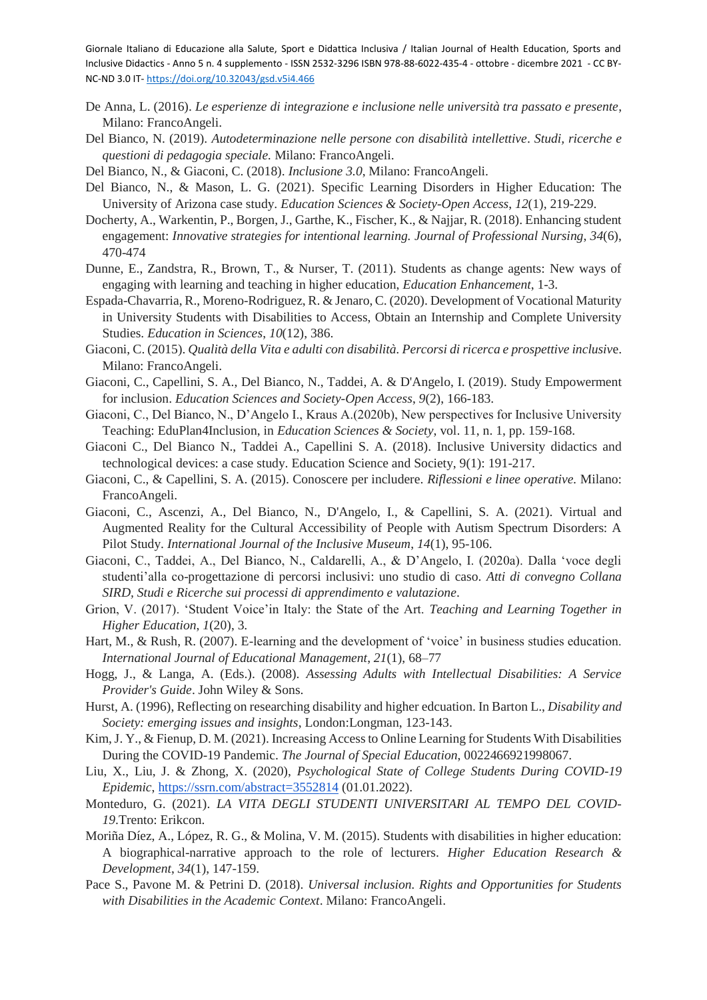- De Anna, L. (2016). *Le esperienze di integrazione e inclusione nelle università tra passato e presente*, Milano: FrancoAngeli.
- Del Bianco, N. (2019). *Autodeterminazione nelle persone con disabilità intellettive*. *Studi, ricerche e questioni di pedagogia speciale.* Milano: FrancoAngeli.
- Del Bianco, N., & Giaconi, C. (2018). *Inclusione 3.0*, Milano: FrancoAngeli.
- Del Bianco, N., & Mason, L. G. (2021). Specific Learning Disorders in Higher Education: The University of Arizona case study. *Education Sciences & Society-Open Access*, *12*(1), 219-229.
- Docherty, A., Warkentin, P., Borgen, J., Garthe, K., Fischer, K., & Najjar, R. (2018). Enhancing student engagement: *Innovative strategies for intentional learning. Journal of Professional Nursing*, *34*(6), 470-474
- Dunne, E., Zandstra, R., Brown, T., & Nurser, T. (2011). Students as change agents: New ways of engaging with learning and teaching in higher education, *Education Enhancement*, 1-3.
- Espada-Chavarria, R., Moreno-Rodriguez, R. & Jenaro, C. (2020). Development of Vocational Maturity in University Students with Disabilities to Access, Obtain an Internship and Complete University Studies. *Education in Sciences*, *10*(12), 386.
- Giaconi, C. (2015). *Qualità della Vita e adulti con disabilità. Percorsi di ricerca e prospettive inclusiv*e. Milano: FrancoAngeli.
- Giaconi, C., Capellini, S. A., Del Bianco, N., Taddei, A. & D'Angelo, I. (2019). Study Empowerment for inclusion. *Education Sciences and Society-Open Access*, *9*(2), 166-183.
- Giaconi, C., Del Bianco, N., D'Angelo I., Kraus A.(2020b), New perspectives for Inclusive University Teaching: EduPlan4Inclusion, in *Education Sciences & Society*, vol. 11, n. 1, pp. 159-168.
- Giaconi C., Del Bianco N., Taddei A., Capellini S. A. (2018). Inclusive University didactics and technological devices: a case study. Education Science and Society, 9(1): 191-217.
- Giaconi, C., & Capellini, S. A. (2015). Conoscere per includere. *Riflessioni e linee operative.* Milano: FrancoAngeli.
- Giaconi, C., Ascenzi, A., Del Bianco, N., D'Angelo, I., & Capellini, S. A. (2021). Virtual and Augmented Reality for the Cultural Accessibility of People with Autism Spectrum Disorders: A Pilot Study. *International Journal of the Inclusive Museum*, *14*(1), 95-106.
- Giaconi, C., Taddei, A., Del Bianco, N., Caldarelli, A., & D'Angelo, I. (2020a). Dalla 'voce degli studenti'alla co-progettazione di percorsi inclusivi: uno studio di caso. *Atti di convegno Collana SIRD, Studi e Ricerche sui processi di apprendimento e valutazione*.
- Grion, V. (2017). 'Student Voice'in Italy: the State of the Art. *Teaching and Learning Together in Higher Education*, *1*(20), 3.
- Hart, M., & Rush, R. (2007). E-learning and the development of 'voice' in business studies education. *International Journal of Educational Management*, *21*(1), 68–77
- Hogg, J., & Langa, A. (Eds.). (2008). *Assessing Adults with Intellectual Disabilities: A Service Provider's Guide*. John Wiley & Sons.
- Hurst, A. (1996), Reflecting on researching disability and higher edcuation. In Barton L., *Disability and Society: emerging issues and insights*, London:Longman, 123-143.
- Kim, J. Y., & Fienup, D. M. (2021). Increasing Access to Online Learning for Students With Disabilities During the COVID-19 Pandemic. *The Journal of Special Education*, 0022466921998067.
- Liu, X., Liu, J. & Zhong, X. (2020), *Psychological State of College Students During COVID-19 Epidemic*,<https://ssrn.com/abstract=3552814> (01.01.2022).
- Monteduro, G. (2021). *LA VITA DEGLI STUDENTI UNIVERSITARI AL TEMPO DEL COVID-19*.Trento: Erikcon.
- Moriña Díez, A., López, R. G., & Molina, V. M. (2015). Students with disabilities in higher education: A biographical-narrative approach to the role of lecturers. *Higher Education Research & Development*, *34*(1), 147-159.
- Pace S., Pavone M. & Petrini D. (2018). *Universal inclusion. Rights and Opportunities for Students with Disabilities in the Academic Context*. Milano: FrancoAngeli.